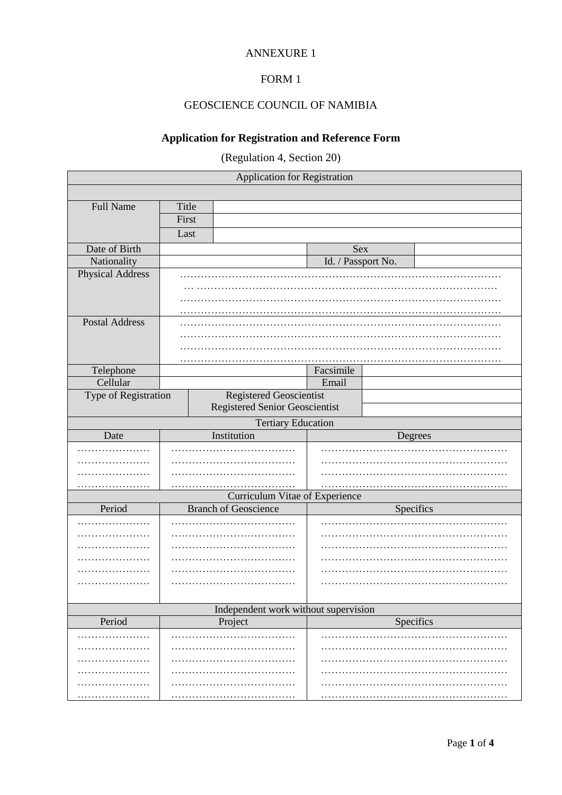## ANNEXURE 1

## FORM 1

## GEOSCIENCE COUNCIL OF NAMIBIA

## **Application for Registration and Reference Form**

(Regulation 4, Section 20)

| Application for Registration                                |                         |                                |                    |           |  |  |
|-------------------------------------------------------------|-------------------------|--------------------------------|--------------------|-----------|--|--|
|                                                             |                         |                                |                    |           |  |  |
| <b>Full Name</b>                                            | Title                   |                                |                    |           |  |  |
|                                                             | First                   |                                |                    |           |  |  |
|                                                             | Last                    |                                |                    |           |  |  |
| Date of Birth                                               |                         |                                | Sex                |           |  |  |
| Nationality                                                 |                         |                                | Id. / Passport No. |           |  |  |
| Physical Address                                            |                         |                                |                    |           |  |  |
|                                                             |                         |                                |                    |           |  |  |
|                                                             |                         |                                |                    |           |  |  |
|                                                             |                         |                                |                    |           |  |  |
| <b>Postal Address</b>                                       |                         |                                |                    |           |  |  |
|                                                             |                         |                                |                    |           |  |  |
|                                                             |                         |                                |                    |           |  |  |
|                                                             |                         |                                |                    |           |  |  |
| Telephone                                                   | Facsimile               |                                |                    |           |  |  |
| Cellular                                                    |                         |                                | Email              |           |  |  |
| Type of Registration                                        | Registered Geoscientist |                                |                    |           |  |  |
|                                                             |                         | Registered Senior Geoscientist |                    |           |  |  |
|                                                             |                         | <b>Tertiary Education</b>      |                    |           |  |  |
| Date                                                        |                         | Institution                    |                    | Degrees   |  |  |
|                                                             |                         |                                |                    |           |  |  |
|                                                             |                         |                                |                    |           |  |  |
|                                                             |                         |                                |                    |           |  |  |
|                                                             |                         |                                |                    |           |  |  |
|                                                             |                         | Curriculum Vitae of Experience |                    |           |  |  |
| Period                                                      |                         | <b>Branch of Geoscience</b>    |                    | Specifics |  |  |
|                                                             |                         |                                |                    |           |  |  |
|                                                             |                         |                                |                    |           |  |  |
|                                                             |                         |                                |                    |           |  |  |
|                                                             |                         |                                |                    |           |  |  |
|                                                             |                         |                                |                    |           |  |  |
|                                                             |                         |                                |                    |           |  |  |
|                                                             |                         |                                |                    |           |  |  |
| Independent work without supervision<br>Specifics<br>Period |                         |                                |                    |           |  |  |
|                                                             |                         | Project                        |                    |           |  |  |
|                                                             |                         |                                |                    |           |  |  |
|                                                             |                         |                                |                    |           |  |  |
|                                                             |                         |                                |                    |           |  |  |
|                                                             |                         |                                |                    |           |  |  |
|                                                             |                         |                                |                    |           |  |  |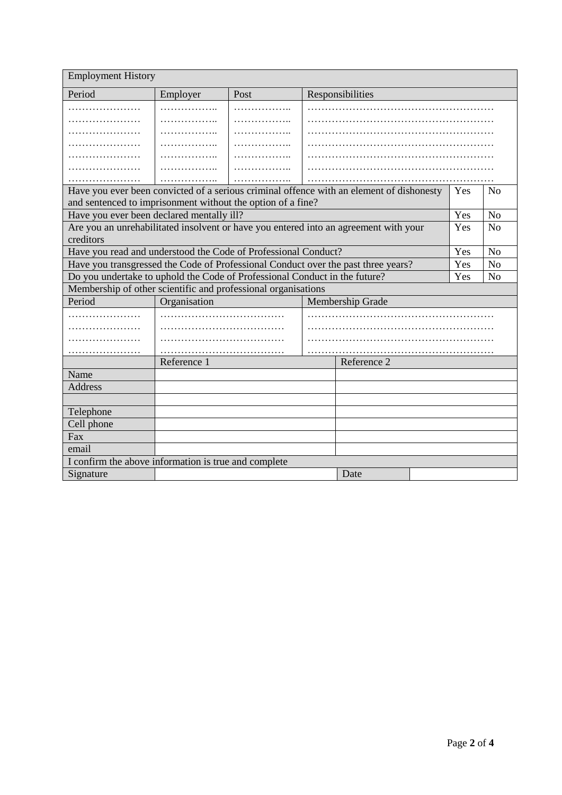| <b>Employment History</b>                                                                                                |                                  |      |  |                  |                |    |
|--------------------------------------------------------------------------------------------------------------------------|----------------------------------|------|--|------------------|----------------|----|
| Period                                                                                                                   | Employer                         | Post |  | Responsibilities |                |    |
| .                                                                                                                        |                                  |      |  |                  |                |    |
| .                                                                                                                        | .                                | .    |  |                  |                |    |
| .                                                                                                                        | .                                |      |  |                  |                |    |
|                                                                                                                          |                                  |      |  |                  |                |    |
| .                                                                                                                        | .                                | .    |  |                  |                |    |
| .                                                                                                                        | .                                | .    |  |                  |                |    |
|                                                                                                                          |                                  |      |  |                  |                |    |
| Have you ever been convicted of a serious criminal offence with an element of dishonesty<br>N <sub>0</sub><br><b>Yes</b> |                                  |      |  |                  |                |    |
| and sentenced to imprisonment without the option of a fine?                                                              |                                  |      |  |                  |                |    |
| Have you ever been declared mentally ill?                                                                                |                                  |      |  | Yes              | No             |    |
| Are you an unrehabilitated insolvent or have you entered into an agreement with your                                     |                                  |      |  | Yes              | No             |    |
| creditors                                                                                                                |                                  |      |  |                  |                |    |
| Have you read and understood the Code of Professional Conduct?                                                           |                                  |      |  | Yes              | N <sub>o</sub> |    |
| Have you transgressed the Code of Professional Conduct over the past three years?                                        |                                  |      |  | Yes              | No             |    |
| Do you undertake to uphold the Code of Professional Conduct in the future?                                               |                                  |      |  |                  | Yes            | No |
| Membership of other scientific and professional organisations                                                            |                                  |      |  |                  |                |    |
| Period                                                                                                                   | Organisation<br>Membership Grade |      |  |                  |                |    |
| .                                                                                                                        |                                  |      |  |                  |                |    |
| .                                                                                                                        |                                  |      |  |                  |                |    |
|                                                                                                                          |                                  |      |  |                  |                |    |
| .                                                                                                                        |                                  |      |  |                  |                |    |
|                                                                                                                          | Reference 1                      |      |  | Reference 2      |                |    |
| Name                                                                                                                     |                                  |      |  |                  |                |    |
| <b>Address</b>                                                                                                           |                                  |      |  |                  |                |    |
|                                                                                                                          |                                  |      |  |                  |                |    |
| Telephone                                                                                                                |                                  |      |  |                  |                |    |
| Cell phone                                                                                                               |                                  |      |  |                  |                |    |
| Fax                                                                                                                      |                                  |      |  |                  |                |    |
| email                                                                                                                    |                                  |      |  |                  |                |    |
| I confirm the above information is true and complete                                                                     |                                  |      |  |                  |                |    |
| Signature                                                                                                                |                                  |      |  | Date             |                |    |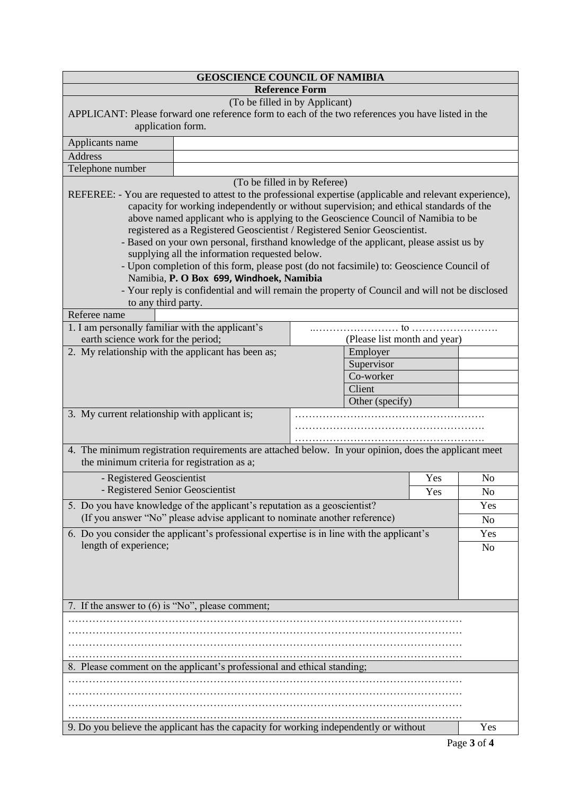| <b>GEOSCIENCE COUNCIL OF NAMIBIA</b>                                                      |                                                                                                                                                                      |                                |                              |                |  |
|-------------------------------------------------------------------------------------------|----------------------------------------------------------------------------------------------------------------------------------------------------------------------|--------------------------------|------------------------------|----------------|--|
| <b>Reference Form</b>                                                                     |                                                                                                                                                                      |                                |                              |                |  |
|                                                                                           |                                                                                                                                                                      | (To be filled in by Applicant) |                              |                |  |
|                                                                                           | APPLICANT: Please forward one reference form to each of the two references you have listed in the                                                                    |                                |                              |                |  |
| application form.                                                                         |                                                                                                                                                                      |                                |                              |                |  |
| Applicants name                                                                           |                                                                                                                                                                      |                                |                              |                |  |
| <b>Address</b>                                                                            |                                                                                                                                                                      |                                |                              |                |  |
| Telephone number                                                                          |                                                                                                                                                                      |                                |                              |                |  |
|                                                                                           |                                                                                                                                                                      | (To be filled in by Referee)   |                              |                |  |
|                                                                                           | REFEREE: - You are requested to attest to the professional expertise (applicable and relevant experience),                                                           |                                |                              |                |  |
|                                                                                           | capacity for working independently or without supervision; and ethical standards of the                                                                              |                                |                              |                |  |
|                                                                                           | above named applicant who is applying to the Geoscience Council of Namibia to be                                                                                     |                                |                              |                |  |
|                                                                                           | registered as a Registered Geoscientist / Registered Senior Geoscientist.<br>- Based on your own personal, firsthand knowledge of the applicant, please assist us by |                                |                              |                |  |
|                                                                                           | supplying all the information requested below.                                                                                                                       |                                |                              |                |  |
|                                                                                           | - Upon completion of this form, please post (do not facsimile) to: Geoscience Council of                                                                             |                                |                              |                |  |
|                                                                                           | Namibia, P. O Box 699, Windhoek, Namibia                                                                                                                             |                                |                              |                |  |
|                                                                                           | - Your reply is confidential and will remain the property of Council and will not be disclosed                                                                       |                                |                              |                |  |
| to any third party.                                                                       |                                                                                                                                                                      |                                |                              |                |  |
| Referee name                                                                              |                                                                                                                                                                      |                                |                              |                |  |
| 1. I am personally familiar with the applicant's                                          |                                                                                                                                                                      |                                |                              |                |  |
| earth science work for the period;                                                        |                                                                                                                                                                      |                                | (Please list month and year) |                |  |
| 2. My relationship with the applicant has been as;                                        |                                                                                                                                                                      | Employer                       |                              |                |  |
|                                                                                           |                                                                                                                                                                      | Supervisor<br>Co-worker        |                              |                |  |
|                                                                                           |                                                                                                                                                                      | Client                         |                              |                |  |
|                                                                                           |                                                                                                                                                                      | Other (specify)                |                              |                |  |
| 3. My current relationship with applicant is;                                             |                                                                                                                                                                      |                                |                              |                |  |
|                                                                                           |                                                                                                                                                                      |                                |                              |                |  |
|                                                                                           |                                                                                                                                                                      |                                |                              |                |  |
|                                                                                           | 4. The minimum registration requirements are attached below. In your opinion, does the applicant meet                                                                |                                |                              |                |  |
| the minimum criteria for registration as a;                                               |                                                                                                                                                                      |                                |                              |                |  |
| - Registered Geoscientist<br>Yes                                                          |                                                                                                                                                                      |                                |                              | N <sub>o</sub> |  |
| - Registered Senior Geoscientist<br>Yes                                                   |                                                                                                                                                                      |                                |                              | No             |  |
|                                                                                           | 5. Do you have knowledge of the applicant's reputation as a geoscientist?                                                                                            |                                |                              | Yes            |  |
|                                                                                           | (If you answer "No" please advise applicant to nominate another reference)                                                                                           |                                |                              | N <sub>o</sub> |  |
| 6. Do you consider the applicant's professional expertise is in line with the applicant's |                                                                                                                                                                      |                                |                              |                |  |
| length of experience;                                                                     |                                                                                                                                                                      |                                |                              |                |  |
|                                                                                           |                                                                                                                                                                      |                                |                              |                |  |
|                                                                                           |                                                                                                                                                                      |                                |                              |                |  |
|                                                                                           |                                                                                                                                                                      |                                |                              |                |  |
| 7. If the answer to (6) is "No", please comment;                                          |                                                                                                                                                                      |                                |                              |                |  |
|                                                                                           |                                                                                                                                                                      |                                |                              |                |  |
|                                                                                           |                                                                                                                                                                      |                                |                              |                |  |
|                                                                                           |                                                                                                                                                                      |                                |                              |                |  |
|                                                                                           |                                                                                                                                                                      |                                |                              |                |  |
| 8. Please comment on the applicant's professional and ethical standing;                   |                                                                                                                                                                      |                                |                              |                |  |
|                                                                                           |                                                                                                                                                                      |                                |                              |                |  |
|                                                                                           |                                                                                                                                                                      |                                |                              |                |  |
|                                                                                           |                                                                                                                                                                      |                                |                              |                |  |
|                                                                                           |                                                                                                                                                                      |                                |                              | Yes            |  |
|                                                                                           | 9. Do you believe the applicant has the capacity for working independently or without                                                                                |                                |                              |                |  |